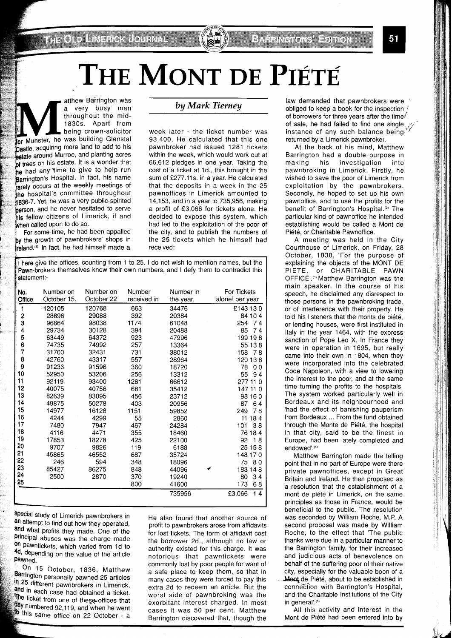# The Mont de Piété

a very busy man<br>
throughout the mid-<br>
1830s. Apart from<br>
being crown-solicitor<br>
or Munster, he was building Glenstal<br>
the comparison was building Glenstal a very busy man throughout the mid-1830s. Apart from being crown-solicitor **Castle, acquiring more land to add to his** astate around Murroe, and planting acres **,f** trees on his estate. It is a wonder that he had any time to give to help run Barrington's Hospital. In fact, his name rarely occurs at the weekly meetings of the hospital's committee throughout **836-7. Yet, he was a very public-spirited person**, and he never hesitated to serve his fellow citizens of Limerick, if and when called upon to do so.

For some time, he had been appalled by the growth of pawnbrokers' shops in reland.") In fact, he had himself made a

### **by** *Mark* **Tierney**

week later - the ticket number was 93,400. He calculated that this one pawnbroker had issued 1281 tickets within the week, which would work out at 66,612 pledges in one year. Taking the cost of a ticket at Id., this brought in the sum of £277.11s. in a year. He calculated that the deposits in a week in the 25 pawnoffices in Limerick amounted to 14,153, and in a year to 735,956, making a profit of £3,066 for tickets alone. He decided to expose this system, which had led to the exploitation of the poor of the city, and to publish the numbers of the 25 tickets which he himself had received:

I here give the offices, counting from 1 to 25. I do not wish to mention names, but the Pawn-brokers themselves know their own numbers, and I defy them to contradict this statement:-

| No.    | Number on   | Number on  | Number      | Number in | <b>For Tickets</b> |
|--------|-------------|------------|-------------|-----------|--------------------|
| Office | October 15. | October 22 | received in | the year. | alone! per year    |
| 1      | 120105      | 120768     | 663         | 34476     | £143 130           |
| 2      | 28696       | 29088      | 392         | 20384     | 84 10 4            |
| 3      | 96864       | 98038      | 1174        | 61048     | 254<br>74          |
| 4      | 29734       | 30128      | 394         | 20488     | 85<br>74           |
| 5      | 63449       | 64372      | 923         | 47996     | 199 198            |
| 6      | 74735       | 74992      | 257         | 13364     | 55 13 8            |
| 7      | 31700       | 32431      | 731         | 38012     | 158<br>78          |
| 8      | 42760       | 43317      | 557         | 28964     | 120 13 8           |
| 9      | 91236       | 91596      | 360         | 18720     | 78<br>00           |
| 10     | 52950       | 53206      | 256         | 13312     | 55<br>94           |
| 11     | 92119       | 93400      | 1281        | 66612     | 277<br>110         |
| 12     | 40075       | 40756      | 681         | 35412     | 147 11 0           |
| 13     | 82639       | 83095      | 456         | 23712     | 98 16 0            |
| 14     | 49875       | 50278      | 403         | 20956     | 87<br>64           |
| 15     | 14977       | 16128      | 1151        | 59852     | 249<br>78          |
| 16     | 4244        | 4299       | 55          | 2860      | 184<br>11          |
| 17     | 7480        | 7947       | 467         | 24284     | 101<br>38          |
| 18     | 4116        | 4471       | 355         | 18460     | 76 18 4            |
| 19     | 17853       | 18278      | 425         | 22100     | 92<br>18           |
| 20     | 9707        | 9826       | 119         | 6188      | 25 15 8            |
| 21     | 45865       | 46552      | 687         | 35724     | 148 170            |
| 22     | 246         | 594        | 348         | 18096     | 75<br>80           |
| 23     | 85427       | 86275      | 848         | 44096     | 183 14 8           |
| 24     | 2500        | 2870       | 370         | 19240     | 80<br>34           |
| 25     |             |            | 800         | 41600     | 173<br>68          |
|        |             |            |             | 735956    | £3,066<br>14       |

special study of Limerick pawnbrokers in an attempt to find out how they operated, and what profits they made. One of the principal abuses was the charge made on pawntickets, which varied from 1d to 4d, depending on the value of the article pawned.

On 15 October, 1836, Matthew Barrington personally pawned 25 articles In 25 different pawnbrokers in Limerick, and in each case had obtained a ticket. The ticket from one of these offices that day numbered 92,119, and when he went to this same office on 22 October - a

He also found that another source of profit to pawnbrokers arose from affidavits for lost tickets. The form of affidavit cost the borrower 2d., although no law or authority existed for this charge. It was notorious that pawntickets were commonly lost by poor people for want of a safe place to keep them, so that in many cases they were forced to pay this extra 2d to redeem an article. But the worst side of pawnbroking was the exorbitant interest charged. In most cases it was 50 per cent. Matthew Barrington discovered that, though the

law demanded that pawnbrokers were obliged to keep a book for the inspection ! of borrowers for three years after the time/ of sale, he had failed to find one single  $\sim$ instance of any such balance beingreturned by a Limerick pawnbroker.

At the back of his mind, Matthew Barrington had a double purpose in making his investigation into pawnbroking in Limerick. Firstly, he wished to save the poor of Limerick from exploitation by the pawnbrokers. Secondly, he hoped to set up his own pawnoffice, and to use the profits for the benefit of Barrington's Hospital.<sup>(2)</sup> The particular kind of pawnoffice he intended establishing would be called a Mont de Piete, or Charitable Pawnoffice.

A meeting was held in the City Courthouse of Limerick, on Friday, 28 October, 1838, 'For the purpose of explaining the objects of the MONT DE PIETE, or CHARITABLE PAWN OFFICE'.<sup>(3)</sup> Matthew Barrington was the main speaker. In the course of his speech, he disclaimed any disrespect to those persons in the pawnbroking trade, or of interference with their property. He told his listeners that the monts de piété, or lending houses, were first instituted in Italy in the year 1464, with the express sanction of Pope Leo X. In France they were in operation in 1695, but really came into their own in 1804, when they were incorporated into the celebrated Code Napoleon, with a view to lowering the interest to the poor, and at the same time turning the profits to the hospitals. The system worked particularly well in Bordeaux and its neighbourhood and 'had the effect of banishing pauperism from Bordeaux ... From the fund obtained through the Monte de Piété, the hospital in that city, said to be the finest in Europe, had been lately completed and endowed' (4)

Matthew Barrington made the telling point that in no part of Europe were there private pawnoffices, except in Great Britain and Ireland. He then proposed as a resolution that the establishment of a mont de piété in Limerick, on the same principles as those in France, would be beneficial to the public. The resolution was seconded by William Roche, M.P. A second proposal was made by William Roche, to the effect that 'The public thanks were due in a particular manner to the Barrington family, for their increased and judicious acts of benevolence on behalf of the suffering poor of their native city, especially for the valuable boon of a Mont de Piété, about to be established in connection with Barrington's Hospital, and the Charitable Institutions of the City in general'.<sup>(5)</sup>

All this activity and interest in the Mont de Piété had been entered into by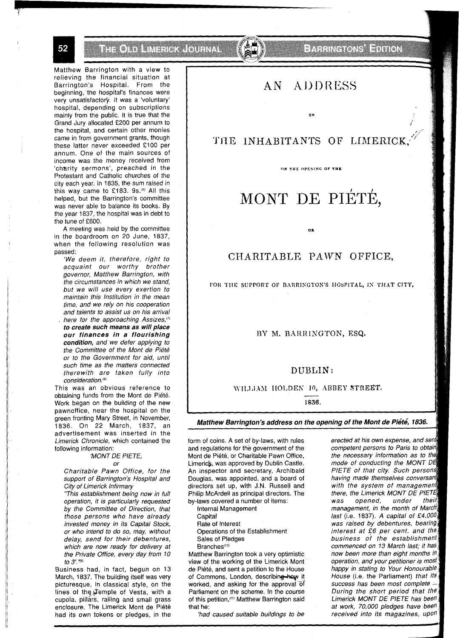52

THE ONDERWERD, COURNAL

Matthew Barrington with a view to relieving the financial situation at Barrington's Hospital. From the beginning, the hospital's finances were very unsatisfactory. It was a 'voluntary' hospital, depending on subscriptions mainly from the public. It is true that the Grand Jury allocated £200 per annum to the hospital, and certain other monies came in from government grants, though these latter never exceeded £100 per annum. One of the main sources of income was the money received from 'charity sermons', preached in the Protestant and Catholic churches of the city each year. In 1835, the sum raised in this way came to £183. 9s.<sup>(6)</sup> All this helped, but the Barrington's committee was never able to balance its books. By the year 1837, the hospital was in debt to the tune of £600.

A meeting was held by the committee in the boardroom on 20 June, 1837, when the following resolution was passed:

'We deem it, therefore, right to acquaint our worthy brother governor, Matthew Barrington, with the circumstances in which we stand, but we will use every exertion to maintain this Institution in the mean time, and we rely on his cooperation and talents to assist us on his arrival here for the approaching Assizes,<sup>(7)</sup> **to create such means as will place our finances in a flourishing condition,** and we defer applying to the Committee of the Mont de Piete or to the Government for aid, until such time as the matters connected therewith are taken fully into consideration.<sup>(8)</sup>

This was an obvious reference to obtaining funds from the Mont de Piete. Work began on the building of the new pawnoffice, near the hospital on the green fronting Mary Street, in November, 1836. On 22 March, 1837, an advertisement was inserted in the Limerick Chronicle, which contained the following information:

#### 'MONT DE PIETE,

#### or

Charitable Pawn Office, for the support of Barrington's Hospital and City of Limerick Infirmary

"This establishment being now in full operation, it is particularly requested by the Committee of Direction, that those persons who have already invested money in its Capital Stock, or who intend to do so, may, without delay, send for their debentures, which are now ready for delivery at the Private Office, every day from 10 to 3'.<sup>"(9)</sup>

Business had, in fact, begun on 13 March, 1837. The building itself was very picturesque, in classical style, on the lines of the Temple of Vesta, with a cupola, pillars, railing and small grass enclosure. The Limerick Mont de Piété had its own tokens or pledges, in the

**Experiments Edition** 

#### **ADDRESS**  $\mathop{\rm AN}$  .

to

## THE INHABITANTS OF LIMERICK

**On THE OPESINC OF' THE** 

## MONT DE PIÉTÉ,

## CHARITABLE PAWN OFFICE,

0R

FOR THE SUPPORT OF BARRINGTON'S HOSPITAL, IN THAT CITY,

#### BY M. BARRINGTON, ESQ.

## DUBLIN: BLIN:<br>10, ABB<br>1836.

\\-II,l,I.J>I IIO1,DEK In, ABBEY **STREET,** 

**1838.** 

#### Matthew Barrington's address on the opening of the Mont de Piété, 1836.

form of coins. A set of by-laws, with rules and regulations for the government of the Mont de Piété, or Charitable Pawn Office, Limerick, was approved by Dublin Castle. An inspector and secretary, Archibald Douglas, was appointed, and a board of directors set up, with J.N. Russell and Philip McArdell as principal directors. The by-laws covered a number of items:

Internal Management

- Capital
- Rate of Interest

Operations of the Establishment Sales of Pledges

Branches(10)

Matthew Barrington took a very optimistic view of the working of the Limerick Mont de Piété, and sent a petition to the House of Commons, London, describing how it worked, and asking for the approval of Parliament on the scheme. In the course of this petition,<sup>(11)</sup> Matthew Barrington said that he:

'had caused suitable buildings to be

erected at his own expense, and sent competent persons to Paris to obtain the necessary information as to the mode of conducting the MONT DE PIETE of that city. Such persons having made themselves conversant with the system of management there, the Limerick MONT DE PIETE opened, was under their management, in the month of March last (i.e. 1837). A capital of £4,000 was raised by debentures, bearing interest at £6 per cent. and the business of the establishment commenced on 13 March last; it has now been more than eight months in operation, and your petitioner is most happy in stating to Your Honourable House (i.e. the Parliament) that its success has been most complete ... During the short period that the Limerick MONT DE PIETE has been at work, 70,000 pledges have been received into its magazines, upon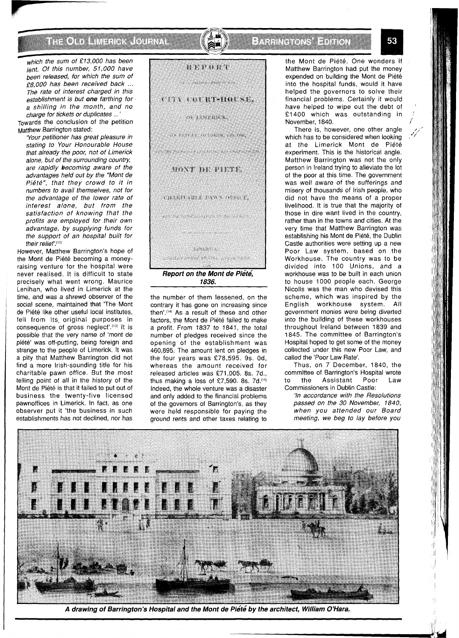## THE OLD EMERIC COURNAL

### E A FINGLONS ET TOT

which the sum of £13,000 has been lent. Of this number, *51,000* have been released, for which the sum of *f8,OOO* has been received back ... The rate of interest charged in this establishment is but **one** farthing for a shilling in the month, and no charge for tickets or duplicates ...

Towards the conclusion of the petition Matthew Barrington stated:

'Your petitioner has great pleasure in stating to Your Honourable House that already the poor, not of Limerick alone, but of the surrounding country, are rapidly becoming aware of the advantages held out by the "Mont de Piété", that they crowd to it in numbers to avail themselves, not for the advantage of the lower rate of interest alone, but from the satisfaction of knowing that the profits are employed for their own advantage, by supplying funds for the support of an hospital built for their relief'.<sup>(12)</sup>

However, Matthew Barrington's hope of the Mont de Piété becoming a moneyraising venture for the hospital were never realised. It is difficult to state precisely what went wrong. Maurice Lenihan, who lived in Limerick at the time, and was a shrewd observer of the social scene, maintained that 'The Mont de Piété like other useful local institutes, fell from its, original purposes in consequence of gross neglect'.(13) It is possible that the very name of 'mont de piété' was off-putting, being foreign and strange to the people of Limerick. It was a pity that Matthew Barrington did not find a more Irish-sounding title for his charitable pawn office. But the most telling point of all in the history of the Mont de Piete is that it failed to put out of business the twenty-five licensed pawnoffices in Limerick. In fact, as one observer put it 'the business in such establishments has not declined, nor has



the number of them lessened, on the contrary it has gone on increasing since then'.('4' As a result of these and other factors, the Mont de Piété failed to make a profit. From 1837 to 1841, the total number of pledges received since the opening of the establishment was 460,895. The amount lent on pledges in the four years was £78,595. 9s. Od, whereas the amount received for released articles was £71,005, 8s. 7d., thus making a loss of £7,590. 8s.  $7d.$ <sup>(15)</sup> Indeed, the whole venture was a disaster and only added to the financial problems of the governors of Barrington's, as they were held responsible for paying the ground rents and other taxes relating to

the Mont de Piété. One wonders if Matthew Barrington had put the money expended on building the Mont de Piété into the hospital funds, would it have helped the governors to solve their financial problems. Certainly it would have helped to wipe out the debt of £ 1400 which was outstanding in November, 1840.

There is, however, one other angle which has to be considered when looking at the Limerick Mont de Piété experiment. This is the historical angle. Matthew Barrington was not the only person in Ireland trying to alleviate the lot of the poor at this time. The government was well aware of the sufferings and misery of thousands of Irish people, who did not have the means of a proper livelihood. It is true that the majority of those in dire want lived in the country, rather than in the towns and cities. At the very time that Matthew Barrington was establishing his Mont de Piete, the Dublin Castle authorities were setting up a new Poor Law system, based on the Workhouse. The country was to be divided into 100 Unions, and a workhouse was to be built in each union to house 1000 people each. George Nicolls was the man who devised this scheme, which was inspired by the English workhouse system. All government monies were being diverted into the building of these workhouses throughout Ireland between 1839 and 1845. The committee of Barrington's Hospital hoped to get some of the money collected under this new Poor Law, and called the 'Poor Law Rate'.

Thus, on 7 December, 1840, the committee of Barrington's Hospital wrote to the Assistant Poor Law Commissioners in Dublin Castle:

'In accordance with the Resolutions passed on the *30* November, *1840,*  when you attended our Board meeting, we beg to lay before you



A drawing of Barrington's Hospital and the Mont de Piété by the architect, William O'Hara.

53